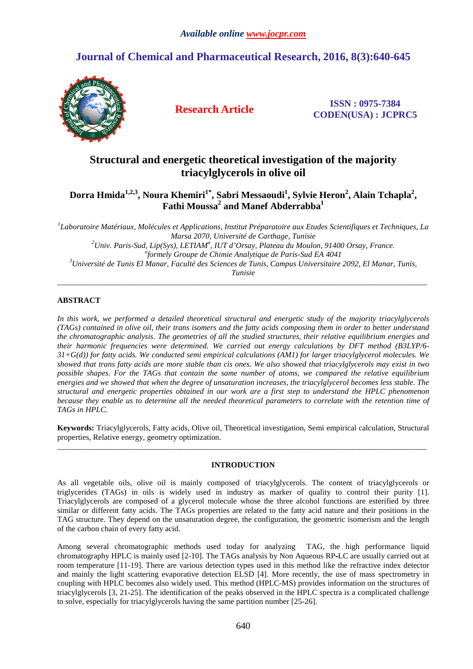# **Journal of Chemical and Pharmaceutical Research, 2016, 8(3):640-645**



**Research Article ISSN : 0975-7384 CODEN(USA) : JCPRC5**

# **Structural and energetic theoretical investigation of the majority triacylglycerols in olive oil**

## **Dorra Hmida1,2,3, Noura Khemiri1\*, Sabri Messaoudi<sup>1</sup> , Sylvie Heron<sup>2</sup> , Alain Tchapla<sup>2</sup> , Fathi Moussa<sup>2</sup> and Manef Abderrabba<sup>1</sup>**

*1 Laboratoire Matériaux, Molécules et Applications, Institut Préparatoire aux Etudes Scientifiques et Techniques, La Marsa 2070, Université de Carthage, Tunisie <sup>2</sup>Univ. Paris-Sud, Lip(Sys), LETIAM<sup>a</sup> , IUT d'Orsay, Plateau du Moulon, 91400 Orsay, France. a formely Groupe de Chimie Analytique de Paris-Sud EA 4041 <sup>3</sup>Université de Tunis El Manar, Faculté des Sciences de Tunis, Campus Universitaire 2092, El Manar, Tunis, Tunisie* 

\_\_\_\_\_\_\_\_\_\_\_\_\_\_\_\_\_\_\_\_\_\_\_\_\_\_\_\_\_\_\_\_\_\_\_\_\_\_\_\_\_\_\_\_\_\_\_\_\_\_\_\_\_\_\_\_\_\_\_\_\_\_\_\_\_\_\_\_\_\_\_\_\_\_\_\_\_\_\_\_\_\_\_\_\_\_\_\_\_\_\_\_\_

### **ABSTRACT**

*In this work, we performed a detailed theoretical structural and energetic study of the majority triacylglycerols (TAGs) contained in olive oil, their trans isomers and the fatty acids composing them in order to better understand the chromatographic analysis. The geometries of all the studied structures, their relative equilibrium energies and their harmonic frequencies were determined. We carried out energy calculations by DFT method (B3LYP/6- 31+G(d)) for fatty acids. We conducted semi empirical calculations (AM1) for larger triacylglycerol molecules. We showed that trans fatty acids are more stable than cis ones. We also showed that triacylglycerols may exist in two possible shapes. For the TAGs that contain the same number of atoms, we compared the relative equilibrium energies and we showed that when the degree of unsaturation increases, the triacylglycerol becomes less stable. The structural and energetic properties obtained in our work are a first step to understand the HPLC phenomenon because they enable us to determine all the needed theoretical parameters to correlate with the retention time of TAGs in HPLC.* 

**Keywords:** Triacylglycerols, Fatty acids, Olive oil, Theoretical investigation, Semi empirical calculation, Structural properties, Relative energy, geometry optimization. \_\_\_\_\_\_\_\_\_\_\_\_\_\_\_\_\_\_\_\_\_\_\_\_\_\_\_\_\_\_\_\_\_\_\_\_\_\_\_\_\_\_\_\_\_\_\_\_\_\_\_\_\_\_\_\_\_\_\_\_\_\_\_\_\_\_\_\_\_\_\_\_\_\_\_\_\_\_\_\_\_\_\_\_\_\_\_\_\_\_\_\_\_

### **INTRODUCTION**

As all vegetable oils, olive oil is mainly composed of triacylglycerols. The content of triacylglycerols or triglycerides (TAGs) in oils is widely used in industry as marker of quality to control their purity [1]. Triacylglycerols are composed of a glycerol molecule whose the three alcohol functions are esterified by three similar or different fatty acids. The TAGs properties are related to the fatty acid nature and their positions in the TAG structure. They depend on the unsaturation degree, the configuration, the geometric isomerism and the length of the carbon chain of every fatty acid.

Among several chromatographic methods used today for analyzing TAG, the high performance liquid chromatography HPLC is mainly used [2-10]. The TAGs analysis by Non Aqueous RP-LC are usually carried out at room temperature [11-19]. There are various detection types used in this method like the refractive index detector and mainly the light scattering evaporative detection ELSD [4]. More recently, the use of mass spectrometry in coupling with HPLC becomes also widely used. This method (HPLC-MS) provides information on the structures of triacylglycerols [3, 21-25]. The identification of the peaks observed in the HPLC spectra is a complicated challenge to solve, especially for triacylglycerols having the same partition number [25-26].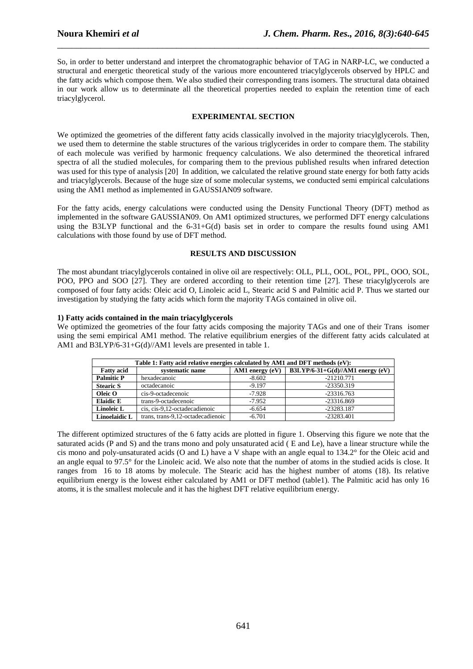So, in order to better understand and interpret the chromatographic behavior of TAG in NARP-LC, we conducted a structural and energetic theoretical study of the various more encountered triacylglycerols observed by HPLC and the fatty acids which compose them. We also studied their corresponding trans isomers. The structural data obtained in our work allow us to determinate all the theoretical properties needed to explain the retention time of each triacylglycerol.

\_\_\_\_\_\_\_\_\_\_\_\_\_\_\_\_\_\_\_\_\_\_\_\_\_\_\_\_\_\_\_\_\_\_\_\_\_\_\_\_\_\_\_\_\_\_\_\_\_\_\_\_\_\_\_\_\_\_\_\_\_\_\_\_\_\_\_\_\_\_\_\_\_\_\_\_\_\_

#### **EXPERIMENTAL SECTION**

We optimized the geometries of the different fatty acids classically involved in the majority triacylglycerols. Then, we used them to determine the stable structures of the various triglycerides in order to compare them. The stability of each molecule was verified by harmonic frequency calculations. We also determined the theoretical infrared spectra of all the studied molecules, for comparing them to the previous published results when infrared detection was used for this type of analysis [20] In addition, we calculated the relative ground state energy for both fatty acids and triacylglycerols. Because of the huge size of some molecular systems, we conducted semi empirical calculations using the AM1 method as implemented in GAUSSIAN09 software.

For the fatty acids, energy calculations were conducted using the Density Functional Theory (DFT) method as implemented in the software GAUSSIAN09. On AM1 optimized structures, we performed DFT energy calculations using the B3LYP functional and the 6-31+G(d) basis set in order to compare the results found using AM1 calculations with those found by use of DFT method.

#### **RESULTS AND DISCUSSION**

The most abundant triacylglycerols contained in olive oil are respectively: OLL, PLL, OOL, POL, PPL, OOO, SOL, POO, PPO and SOO [27]. They are ordered according to their retention time [27]. These triacylglycerols are composed of four fatty acids: Oleic acid O, Linoleic acid L, Stearic acid S and Palmitic acid P. Thus we started our investigation by studying the fatty acids which form the majority TAGs contained in olive oil.

#### **1) Fatty acids contained in the main triacylglycerols**

We optimized the geometries of the four fatty acids composing the majority TAGs and one of their Trans isomer using the semi empirical AM1 method. The relative equilibrium energies of the different fatty acids calculated at AM1 and B3LYP/6-31+G(d)//AM1 levels are presented in table 1.

| Table 1: Fatty acid relative energies calculated by AM1 and DFT methods (eV): |                                   |                   |                                  |  |  |  |
|-------------------------------------------------------------------------------|-----------------------------------|-------------------|----------------------------------|--|--|--|
| <b>Fatty acid</b>                                                             | systematic name                   | AM1 energy $(eV)$ | B3LYP/6-31+G(d)//AM1 energy (eV) |  |  |  |
| <b>Palmitic P</b>                                                             | hexadecanoic                      | $-8.602$          | $-21210.771$                     |  |  |  |
| <b>Stearic S</b>                                                              | octadecanoic                      | $-9.197$          | $-23350.319$                     |  |  |  |
| Oleic O                                                                       | cis-9-octadecenoic                | $-7.928$          | $-23316.763$                     |  |  |  |
| <b>Elaidic E</b>                                                              | trans-9-octadecenoic              | $-7.952$          | $-23316.869$                     |  |  |  |
| Linoleic L                                                                    | cis, cis-9,12-octadecadienoic     | $-6.654$          | $-23283.187$                     |  |  |  |
| <b>Linoelaidic L</b>                                                          | trans, trans-9,12-octadecadienoic | $-6.701$          | $-23283.401$                     |  |  |  |

The different optimized structures of the 6 fatty acids are plotted in figure 1. Observing this figure we note that the saturated acids (P and S) and the trans mono and poly unsaturated acid ( E and Le), have a linear structure while the cis mono and poly-unsaturated acids (O and L) have a V shape with an angle equal to 134.2° for the Oleic acid and an angle equal to 97.5° for the Linoleic acid. We also note that the number of atoms in the studied acids is close. It ranges from 16 to 18 atoms by molecule. The Stearic acid has the highest number of atoms (18). Its relative equilibrium energy is the lowest either calculated by AM1 or DFT method (table1). The Palmitic acid has only 16 atoms, it is the smallest molecule and it has the highest DFT relative equilibrium energy.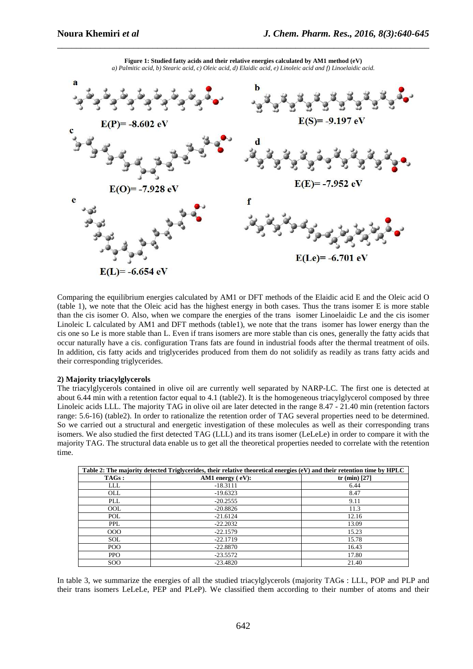

**Figure 1: Studied fatty acids and their relative energies calculated by AM1 method (eV)**  *a) Palmitic acid, b) Stearic acid, c) Oleic acid, d) Elaidic acid, e) Linoleic acid and f) Linoelaidic acid.* 

\_\_\_\_\_\_\_\_\_\_\_\_\_\_\_\_\_\_\_\_\_\_\_\_\_\_\_\_\_\_\_\_\_\_\_\_\_\_\_\_\_\_\_\_\_\_\_\_\_\_\_\_\_\_\_\_\_\_\_\_\_\_\_\_\_\_\_\_\_\_\_\_\_\_\_\_\_\_

Comparing the equilibrium energies calculated by AM1 or DFT methods of the Elaidic acid E and the Oleic acid O (table 1), we note that the Oleic acid has the highest energy in both cases. Thus the trans isomer E is more stable than the cis isomer O. Also, when we compare the energies of the trans isomer Linoelaidic Le and the cis isomer Linoleic L calculated by AM1 and DFT methods (table1), we note that the trans isomer has lower energy than the cis one so Le is more stable than L. Even if trans isomers are more stable than cis ones, generally the fatty acids that occur naturally have a cis. configuration Trans fats are found in industrial foods after the thermal treatment of oils. In addition, cis fatty acids and triglycerides produced from them do not solidify as readily as trans fatty acids and their corresponding triglycerides.

#### **2) Majority triacylglycerols**

The triacylglycerols contained in olive oil are currently well separated by NARP-LC. The first one is detected at about 6.44 min with a retention factor equal to 4.1 (table2). It is the homogeneous triacylglycerol composed by three Linoleic acids LLL. The majority TAG in olive oil are later detected in the range 8.47 - 21.40 min (retention factors range: 5.6-16) (table2). In order to rationalize the retention order of TAG several properties need to be determined. So we carried out a structural and energetic investigation of these molecules as well as their corresponding trans isomers. We also studied the first detected TAG (LLL) and its trans isomer (LeLeLe) in order to compare it with the majority TAG. The structural data enable us to get all the theoretical properties needed to correlate with the retention time.

| Table 2: The majority detected Triglycerides, their relative theoretical energies (eV) and their retention time by HPLC |                                 |                 |  |  |
|-------------------------------------------------------------------------------------------------------------------------|---------------------------------|-----------------|--|--|
| TAGs:                                                                                                                   | AM1 energy $\left( eV\right)$ : | tr (min) $[27]$ |  |  |
| LLL                                                                                                                     | $-18.3111$                      | 6.44            |  |  |
| <b>OLL</b>                                                                                                              | $-19.6323$                      | 8.47            |  |  |
| <b>PLL</b>                                                                                                              | $-20.2555$                      | 9.11            |  |  |
| <b>OOL</b>                                                                                                              | $-20.8826$                      | 11.3            |  |  |
| <b>POL</b>                                                                                                              | $-21.6124$                      | 12.16           |  |  |
| <b>PPL</b>                                                                                                              | $-22.2032$                      | 13.09           |  |  |
| 000                                                                                                                     | $-22.1579$                      | 15.23           |  |  |
| <b>SOL</b>                                                                                                              | $-22.1719$                      | 15.78           |  |  |
| POO                                                                                                                     | $-22.8870$                      | 16.43           |  |  |
| <b>PPO</b>                                                                                                              | $-23.5572$                      | 17.80           |  |  |
| <sub>SOO</sub>                                                                                                          | $-23.4820$                      | 21.40           |  |  |

In table 3, we summarize the energies of all the studied triacylglycerols (majority TAGs : LLL, POP and PLP and their trans isomers LeLeLe, PEP and PLeP). We classified them according to their number of atoms and their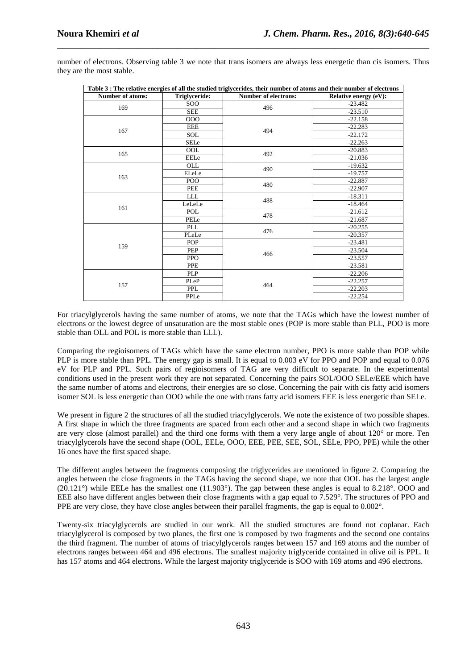| Table 3 : The relative energies of all the studied triglycerides, their number of atoms and their number of electrons |               |                             |                              |  |  |  |
|-----------------------------------------------------------------------------------------------------------------------|---------------|-----------------------------|------------------------------|--|--|--|
| <b>Number of atoms:</b>                                                                                               | Triglyceride: | <b>Number of electrons:</b> | <b>Relative energy (eV):</b> |  |  |  |
| 169                                                                                                                   | SOO.          | 496                         | $-23.482$                    |  |  |  |
|                                                                                                                       | <b>SEE</b>    |                             | $-23.510$                    |  |  |  |
|                                                                                                                       | 000           | 494                         | $-22.158$                    |  |  |  |
|                                                                                                                       | <b>EEE</b>    |                             | $-22.283$                    |  |  |  |
| 167                                                                                                                   | <b>SOL</b>    |                             | $-22.172$                    |  |  |  |
|                                                                                                                       | <b>SELe</b>   |                             | $-22.263$                    |  |  |  |
|                                                                                                                       | <b>OOL</b>    |                             | $-20.883$                    |  |  |  |
| 165                                                                                                                   | EELe          | 492                         | $-21.036$                    |  |  |  |
|                                                                                                                       | OLL           | 490                         | $-19.632$                    |  |  |  |
|                                                                                                                       | ELeLe         |                             | $-19.757$                    |  |  |  |
| 163                                                                                                                   | POO           |                             | $-22.887$                    |  |  |  |
|                                                                                                                       | PEE           | 480                         | $-22.907$                    |  |  |  |
|                                                                                                                       | <b>LLL</b>    | 488                         | $-18.311$                    |  |  |  |
| 161                                                                                                                   | LeLeLe        |                             | $-18.464$                    |  |  |  |
|                                                                                                                       | POL           | 478                         | $-21.612$                    |  |  |  |
|                                                                                                                       | PELe          |                             | $-21.687$                    |  |  |  |
|                                                                                                                       | PLL           | 476                         | $-20.255$                    |  |  |  |
|                                                                                                                       | PLeLe         |                             | $-20.357$                    |  |  |  |
|                                                                                                                       | POP           | 466                         | $-23.481$                    |  |  |  |
| 159                                                                                                                   | <b>PEP</b>    |                             | $-23.504$                    |  |  |  |
|                                                                                                                       | <b>PPO</b>    |                             | $-23.557$                    |  |  |  |
|                                                                                                                       | <b>PPE</b>    |                             | $-23.581$                    |  |  |  |
|                                                                                                                       | <b>PLP</b>    | 464                         | $-22.206$                    |  |  |  |
|                                                                                                                       | PLeP          |                             | $-22.257$                    |  |  |  |
| 157                                                                                                                   | <b>PPL</b>    |                             | $-22.203$                    |  |  |  |
|                                                                                                                       | PPLe          |                             | $-22.254$                    |  |  |  |

number of electrons. Observing table 3 we note that trans isomers are always less energetic than cis isomers. Thus they are the most stable.

\_\_\_\_\_\_\_\_\_\_\_\_\_\_\_\_\_\_\_\_\_\_\_\_\_\_\_\_\_\_\_\_\_\_\_\_\_\_\_\_\_\_\_\_\_\_\_\_\_\_\_\_\_\_\_\_\_\_\_\_\_\_\_\_\_\_\_\_\_\_\_\_\_\_\_\_\_\_

For triacylglycerols having the same number of atoms, we note that the TAGs which have the lowest number of electrons or the lowest degree of unsaturation are the most stable ones (POP is more stable than PLL, POO is more stable than OLL and POL is more stable than LLL).

Comparing the regioisomers of TAGs which have the same electron number, PPO is more stable than POP while PLP is more stable than PPL. The energy gap is small. It is equal to 0.003 eV for PPO and POP and equal to 0.076 eV for PLP and PPL. Such pairs of regioisomers of TAG are very difficult to separate. In the experimental conditions used in the present work they are not separated. Concerning the pairs SOL/OOO SELe/EEE which have the same number of atoms and electrons, their energies are so close. Concerning the pair with cis fatty acid isomers isomer SOL is less energetic than OOO while the one with trans fatty acid isomers EEE is less energetic than SELe.

We present in figure 2 the structures of all the studied triacylglycerols. We note the existence of two possible shapes. A first shape in which the three fragments are spaced from each other and a second shape in which two fragments are very close (almost parallel) and the third one forms with them a very large angle of about 120° or more. Ten triacylglycerols have the second shape (OOL, EELe, OOO, EEE, PEE, SEE, SOL, SELe, PPO, PPE) while the other 16 ones have the first spaced shape.

The different angles between the fragments composing the triglycerides are mentioned in figure 2. Comparing the angles between the close fragments in the TAGs having the second shape, we note that OOL has the largest angle (20.121°) while EELe has the smallest one (11.903°). The gap between these angles is equal to 8.218°. OOO and EEE also have different angles between their close fragments with a gap equal to 7.529°. The structures of PPO and PPE are very close, they have close angles between their parallel fragments, the gap is equal to 0.002°.

Twenty-six triacylglycerols are studied in our work. All the studied structures are found not coplanar. Each triacylglycerol is composed by two planes, the first one is composed by two fragments and the second one contains the third fragment. The number of atoms of triacylglycerols ranges between 157 and 169 atoms and the number of electrons ranges between 464 and 496 electrons. The smallest majority triglyceride contained in olive oil is PPL. It has 157 atoms and 464 electrons. While the largest majority triglyceride is SOO with 169 atoms and 496 electrons.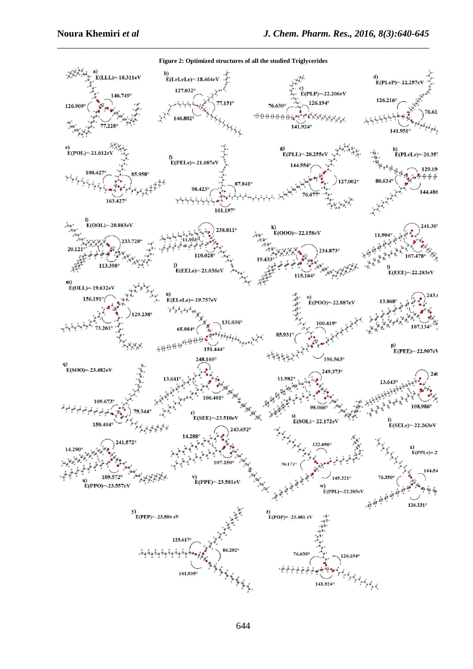

**Figure 2: Optimized structures of all the studied Triglycerides** 

\_\_\_\_\_\_\_\_\_\_\_\_\_\_\_\_\_\_\_\_\_\_\_\_\_\_\_\_\_\_\_\_\_\_\_\_\_\_\_\_\_\_\_\_\_\_\_\_\_\_\_\_\_\_\_\_\_\_\_\_\_\_\_\_\_\_\_\_\_\_\_\_\_\_\_\_\_\_